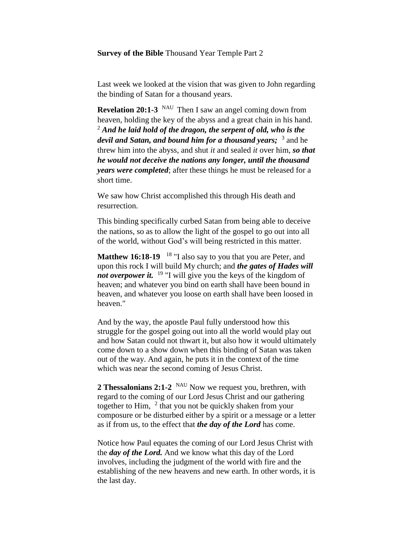### **Survey of the Bible** Thousand Year Temple Part 2

Last week we looked at the vision that was given to John regarding the binding of Satan for a thousand years.

**Revelation 20:1-3** <sup>NAU</sup> Then I saw an angel coming down from heaven, holding the key of the abyss and a great chain in his hand.  $2^2$  And he laid hold of the dragon, the serpent of old, who is the *devil and Satan, and bound him for a thousand years;* 3 and he threw him into the abyss, and shut *it* and sealed *it* over him, *so that he would not deceive the nations any longer, until the thousand years were completed*; after these things he must be released for a short time.

We saw how Christ accomplished this through His death and resurrection.

This binding specifically curbed Satan from being able to deceive the nations, so as to allow the light of the gospel to go out into all of the world, without God's will being restricted in this matter.

**Matthew 16:18-19** <sup>18</sup> "I also say to you that you are Peter, and upon this rock I will build My church; and *the gates of Hades will not overpower it.* <sup>19</sup> "I will give you the keys of the kingdom of heaven; and whatever you bind on earth shall have been bound in heaven, and whatever you loose on earth shall have been loosed in heaven."

And by the way, the apostle Paul fully understood how this struggle for the gospel going out into all the world would play out and how Satan could not thwart it, but also how it would ultimately come down to a show down when this binding of Satan was taken out of the way. And again, he puts it in the context of the time which was near the second coming of Jesus Christ.

**2 Thessalonians 2:1-2** <sup>NAU</sup> Now we request you, brethren, with regard to the coming of our Lord Jesus Christ and our gathering together to Him,  $^2$  that you not be quickly shaken from your composure or be disturbed either by a spirit or a message or a letter as if from us, to the effect that *the day of the Lord* has come.

Notice how Paul equates the coming of our Lord Jesus Christ with the *day of the Lord.* And we know what this day of the Lord involves, including the judgment of the world with fire and the establishing of the new heavens and new earth. In other words, it is the last day.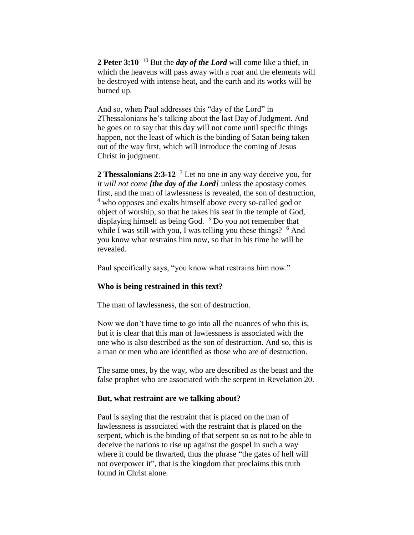**2 Peter 3:10** <sup>10</sup> But the *day of the Lord* will come like a thief, in which the heavens will pass away with a roar and the elements will be destroyed with intense heat, and the earth and its works will be burned up.

And so, when Paul addresses this "day of the Lord" in 2Thessalonians he's talking about the last Day of Judgment. And he goes on to say that this day will not come until specific things happen, not the least of which is the binding of Satan being taken out of the way first, which will introduce the coming of Jesus Christ in judgment.

**2 Thessalonians 2:3-12** <sup>3</sup> Let no one in any way deceive you, for *it will not come [the day of the Lord]* unless the apostasy comes first, and the man of lawlessness is revealed, the son of destruction, <sup>4</sup> who opposes and exalts himself above every so-called god or object of worship, so that he takes his seat in the temple of God, displaying himself as being God. <sup>5</sup> Do you not remember that while I was still with you, I was telling you these things?  $6$  And you know what restrains him now, so that in his time he will be revealed.

Paul specifically says, "you know what restrains him now."

## **Who is being restrained in this text?**

The man of lawlessness, the son of destruction.

Now we don't have time to go into all the nuances of who this is, but it is clear that this man of lawlessness is associated with the one who is also described as the son of destruction. And so, this is a man or men who are identified as those who are of destruction.

The same ones, by the way, who are described as the beast and the false prophet who are associated with the serpent in Revelation 20.

#### **But, what restraint are we talking about?**

Paul is saying that the restraint that is placed on the man of lawlessness is associated with the restraint that is placed on the serpent, which is the binding of that serpent so as not to be able to deceive the nations to rise up against the gospel in such a way where it could be thwarted, thus the phrase "the gates of hell will not overpower it", that is the kingdom that proclaims this truth found in Christ alone.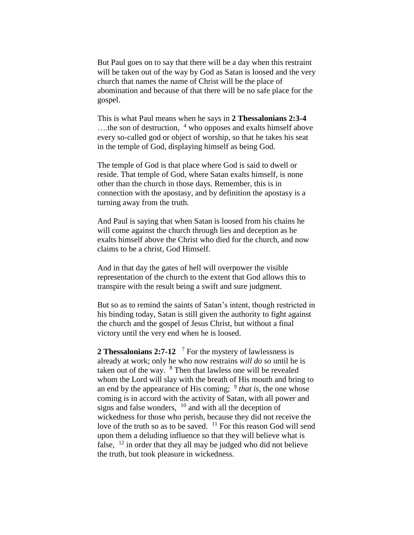But Paul goes on to say that there will be a day when this restraint will be taken out of the way by God as Satan is loosed and the very church that names the name of Christ will be the place of abomination and because of that there will be no safe place for the gospel.

This is what Paul means when he says in **2 Thessalonians 2:3-4**   $\dots$ the son of destruction,  $4$  who opposes and exalts himself above every so-called god or object of worship, so that he takes his seat in the temple of God, displaying himself as being God.

The temple of God is that place where God is said to dwell or reside. That temple of God, where Satan exalts himself, is none other than the church in those days. Remember, this is in connection with the apostasy, and by definition the apostasy is a turning away from the truth.

And Paul is saying that when Satan is loosed from his chains he will come against the church through lies and deception as he exalts himself above the Christ who died for the church, and now claims to be a christ, God Himself.

And in that day the gates of hell will overpower the visible representation of the church to the extent that God allows this to transpire with the result being a swift and sure judgment.

But so as to remind the saints of Satan's intent, though restricted in his binding today, Satan is still given the authority to fight against the church and the gospel of Jesus Christ, but without a final victory until the very end when he is loosed.

2 Thessalonians 2:7-12<sup>7</sup> For the mystery of lawlessness is already at work; only he who now restrains *will do so* until he is taken out of the way. <sup>8</sup> Then that lawless one will be revealed whom the Lord will slay with the breath of His mouth and bring to an end by the appearance of His coming; <sup>9</sup> that is, the one whose coming is in accord with the activity of Satan, with all power and signs and false wonders,  $10$  and with all the deception of wickedness for those who perish, because they did not receive the love of the truth so as to be saved. <sup>11</sup> For this reason God will send upon them a deluding influence so that they will believe what is false,  $12$  in order that they all may be judged who did not believe the truth, but took pleasure in wickedness.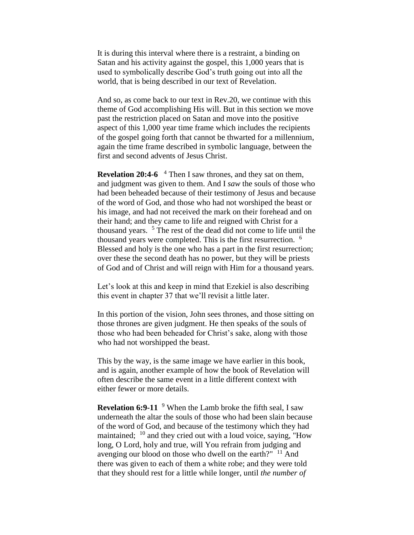It is during this interval where there is a restraint, a binding on Satan and his activity against the gospel, this 1,000 years that is used to symbolically describe God's truth going out into all the world, that is being described in our text of Revelation.

And so, as come back to our text in Rev.20, we continue with this theme of God accomplishing His will. But in this section we move past the restriction placed on Satan and move into the positive aspect of this 1,000 year time frame which includes the recipients of the gospel going forth that cannot be thwarted for a millennium, again the time frame described in symbolic language, between the first and second advents of Jesus Christ.

**Revelation 20:4-6**  <sup>4</sup> Then I saw thrones, and they sat on them, and judgment was given to them. And I *saw* the souls of those who had been beheaded because of their testimony of Jesus and because of the word of God, and those who had not worshiped the beast or his image, and had not received the mark on their forehead and on their hand; and they came to life and reigned with Christ for a thousand years. <sup>5</sup> The rest of the dead did not come to life until the thousand years were completed. This is the first resurrection. <sup>6</sup> Blessed and holy is the one who has a part in the first resurrection; over these the second death has no power, but they will be priests of God and of Christ and will reign with Him for a thousand years.

Let's look at this and keep in mind that Ezekiel is also describing this event in chapter 37 that we'll revisit a little later.

In this portion of the vision, John sees thrones, and those sitting on those thrones are given judgment. He then speaks of the souls of those who had been beheaded for Christ's sake, along with those who had not worshipped the beast.

This by the way, is the same image we have earlier in this book, and is again, another example of how the book of Revelation will often describe the same event in a little different context with either fewer or more details.

**Revelation 6:9-11** <sup>9</sup> When the Lamb broke the fifth seal, I saw underneath the altar the souls of those who had been slain because of the word of God, and because of the testimony which they had maintained; <sup>10</sup> and they cried out with a loud voice, saying, "How long, O Lord, holy and true, will You refrain from judging and avenging our blood on those who dwell on the earth?"  $11$  And there was given to each of them a white robe; and they were told that they should rest for a little while longer, until *the number of*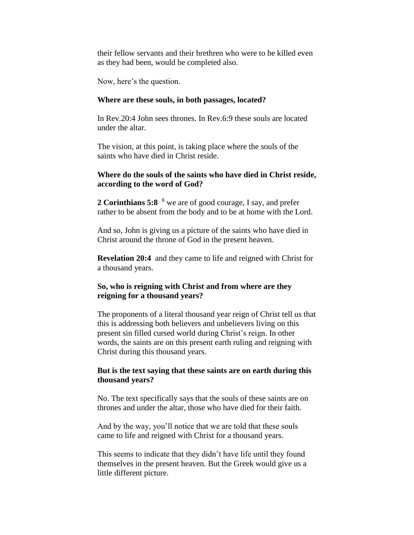their fellow servants and their brethren who were to be killed even as they had been, would be completed also.

Now, here's the question.

## **Where are these souls, in both passages, located?**

In Rev.20:4 John sees thrones. In Rev.6:9 these souls are located under the altar.

The vision, at this point, is taking place where the souls of the saints who have died in Christ reside.

# **Where do the souls of the saints who have died in Christ reside, according to the word of God?**

**2 Corinthians 5:8** <sup>8</sup> we are of good courage, I say, and prefer rather to be absent from the body and to be at home with the Lord.

And so, John is giving us a picture of the saints who have died in Christ around the throne of God in the present heaven.

**Revelation 20:4** and they came to life and reigned with Christ for a thousand years.

# **So, who is reigning with Christ and from where are they reigning for a thousand years?**

The proponents of a literal thousand year reign of Christ tell us that this is addressing both believers and unbelievers living on this present sin filled cursed world during Christ's reign. In other words, the saints are on this present earth ruling and reigning with Christ during this thousand years.

# **But is the text saying that these saints are on earth during this thousand years?**

No. The text specifically says that the souls of these saints are on thrones and under the altar, those who have died for their faith.

And by the way, you'll notice that we are told that these souls came to life and reigned with Christ for a thousand years.

This seems to indicate that they didn't have life until they found themselves in the present heaven. But the Greek would give us a little different picture.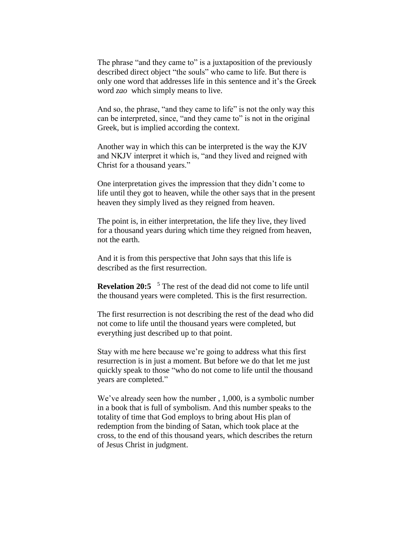The phrase "and they came to" is a juxtaposition of the previously described direct object "the souls" who came to life. But there is only one word that addresses life in this sentence and it's the Greek word *zao* which simply means to live.

And so, the phrase, "and they came to life" is not the only way this can be interpreted, since, "and they came to" is not in the original Greek, but is implied according the context.

Another way in which this can be interpreted is the way the KJV and NKJV interpret it which is, "and they lived and reigned with Christ for a thousand years."

One interpretation gives the impression that they didn't come to life until they got to heaven, while the other says that in the present heaven they simply lived as they reigned from heaven.

The point is, in either interpretation, the life they live, they lived for a thousand years during which time they reigned from heaven, not the earth.

And it is from this perspective that John says that this life is described as the first resurrection.

**Revelation 20:5**  <sup>5</sup> The rest of the dead did not come to life until the thousand years were completed. This is the first resurrection.

The first resurrection is not describing the rest of the dead who did not come to life until the thousand years were completed, but everything just described up to that point.

Stay with me here because we're going to address what this first resurrection is in just a moment. But before we do that let me just quickly speak to those "who do not come to life until the thousand years are completed."

We've already seen how the number , 1,000, is a symbolic number in a book that is full of symbolism. And this number speaks to the totality of time that God employs to bring about His plan of redemption from the binding of Satan, which took place at the cross, to the end of this thousand years, which describes the return of Jesus Christ in judgment.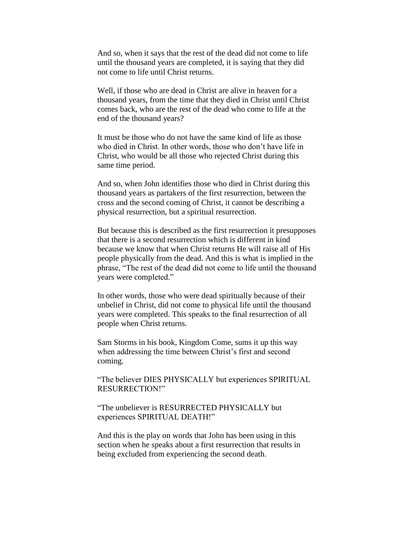And so, when it says that the rest of the dead did not come to life until the thousand years are completed, it is saying that they did not come to life until Christ returns.

Well, if those who are dead in Christ are alive in heaven for a thousand years, from the time that they died in Christ until Christ comes back, who are the rest of the dead who come to life at the end of the thousand years?

It must be those who do not have the same kind of life as those who died in Christ. In other words, those who don't have life in Christ, who would be all those who rejected Christ during this same time period.

And so, when John identifies those who died in Christ during this thousand years as partakers of the first resurrection, between the cross and the second coming of Christ, it cannot be describing a physical resurrection, but a spiritual resurrection.

But because this is described as the first resurrection it presupposes that there is a second resurrection which is different in kind because we know that when Christ returns He will raise all of His people physically from the dead. And this is what is implied in the phrase, "The rest of the dead did not come to life until the thousand years were completed."

In other words, those who were dead spiritually because of their unbelief in Christ, did not come to physical life until the thousand years were completed. This speaks to the final resurrection of all people when Christ returns.

Sam Storms in his book, Kingdom Come, sums it up this way when addressing the time between Christ's first and second coming.

"The believer DIES PHYSICALLY but experiences SPIRITUAL RESURRECTION!"

"The unbeliever is RESURRECTED PHYSICALLY but experiences SPIRITUAL DEATH!"

And this is the play on words that John has been using in this section when he speaks about a first resurrection that results in being excluded from experiencing the second death.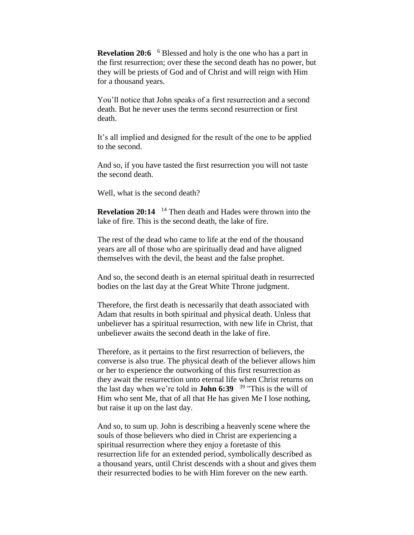**Revelation 20:6** <sup>6</sup> Blessed and holy is the one who has a part in the first resurrection; over these the second death has no power, but they will be priests of God and of Christ and will reign with Him for a thousand years.

You'll notice that John speaks of a first resurrection and a second death. But he never uses the terms second resurrection or first death.

It's all implied and designed for the result of the one to be applied to the second.

And so, if you have tasted the first resurrection you will not taste the second death.

Well, what is the second death?

**Revelation 20:14**  <sup>14</sup> Then death and Hades were thrown into the lake of fire. This is the second death, the lake of fire.

The rest of the dead who came to life at the end of the thousand years are all of those who are spiritually dead and have aligned themselves with the devil, the beast and the false prophet.

And so, the second death is an eternal spiritual death in resurrected bodies on the last day at the Great White Throne judgment.

Therefore, the first death is necessarily that death associated with Adam that results in both spiritual and physical death. Unless that unbeliever has a spiritual resurrection, with new life in Christ, that unbeliever awaits the second death in the lake of fire.

Therefore, as it pertains to the first resurrection of believers, the converse is also true. The physical death of the believer allows him or her to experience the outworking of this first resurrection as they await the resurrection unto eternal life when Christ returns on the last day when we're told in **John 6:39**  <sup>39</sup> "This is the will of Him who sent Me, that of all that He has given Me I lose nothing, but raise it up on the last day.

And so, to sum up. John is describing a heavenly scene where the souls of those believers who died in Christ are experiencing a spiritual resurrection where they enjoy a foretaste of this resurrection life for an extended period, symbolically described as a thousand years, until Christ descends with a shout and gives them their resurrected bodies to be with Him forever on the new earth.